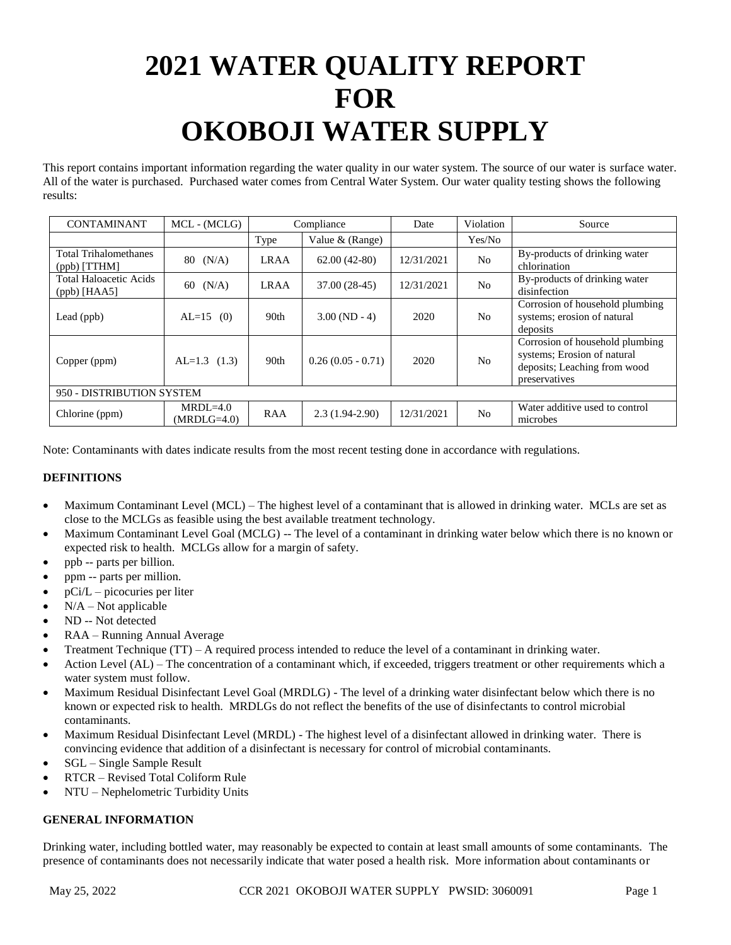# **2021 WATER QUALITY REPORT FOR OKOBOJI WATER SUPPLY**

This report contains important information regarding the water quality in our water system. The source of our water is surface water. All of the water is purchased. Purchased water comes from Central Water System. Our water quality testing shows the following results:

| <b>CONTAMINANT</b>                              | MCL - (MCLG)                | Compliance  |                     | Date       | Violation      | Source                                                                                                          |  |  |
|-------------------------------------------------|-----------------------------|-------------|---------------------|------------|----------------|-----------------------------------------------------------------------------------------------------------------|--|--|
|                                                 |                             | Type        | Value & (Range)     |            | Yes/No         |                                                                                                                 |  |  |
| <b>Total Trihalomethanes</b><br>$(ppb)$ [TTHM]  | (N/A)<br>80                 | <b>LRAA</b> | $62.00(42-80)$      | 12/31/2021 | N <sub>o</sub> | By-products of drinking water<br>chlorination                                                                   |  |  |
| <b>Total Haloacetic Acids</b><br>$(ppb)$ [HAA5] | (N/A)<br>60                 | <b>LRAA</b> | 37.00 (28-45)       | 12/31/2021 | N <sub>o</sub> | By-products of drinking water<br>disinfection                                                                   |  |  |
| Lead (ppb)                                      | $AL=15$ (0)                 | 90th        | $3.00$ (ND - 4)     | 2020       | N <sub>0</sub> | Corrosion of household plumbing<br>systems; erosion of natural<br>deposits                                      |  |  |
| Copper (ppm)                                    | $AL=1.3$ (1.3)              | 90th        | $0.26(0.05 - 0.71)$ | 2020       | N <sub>0</sub> | Corrosion of household plumbing<br>systems; Erosion of natural<br>deposits; Leaching from wood<br>preservatives |  |  |
| 950 - DISTRIBUTION SYSTEM                       |                             |             |                     |            |                |                                                                                                                 |  |  |
| Chlorine (ppm)                                  | $MRDL=4.0$<br>$(MRDLG=4.0)$ | RAA         | $2.3(1.94-2.90)$    | 12/31/2021 | N <sub>o</sub> | Water additive used to control<br>microbes                                                                      |  |  |

Note: Contaminants with dates indicate results from the most recent testing done in accordance with regulations.

# **DEFINITIONS**

- Maximum Contaminant Level (MCL) The highest level of a contaminant that is allowed in drinking water. MCLs are set as close to the MCLGs as feasible using the best available treatment technology.
- Maximum Contaminant Level Goal (MCLG) -- The level of a contaminant in drinking water below which there is no known or expected risk to health. MCLGs allow for a margin of safety.
- ppb -- parts per billion.
- ppm -- parts per million.
- pCi/L picocuries per liter
- $N/A Not$  applicable
- ND -- Not detected
- RAA Running Annual Average
- Treatment Technique (TT) A required process intended to reduce the level of a contaminant in drinking water.
- Action Level (AL) The concentration of a contaminant which, if exceeded, triggers treatment or other requirements which a water system must follow.
- Maximum Residual Disinfectant Level Goal (MRDLG) The level of a drinking water disinfectant below which there is no known or expected risk to health. MRDLGs do not reflect the benefits of the use of disinfectants to control microbial contaminants.
- Maximum Residual Disinfectant Level (MRDL) The highest level of a disinfectant allowed in drinking water. There is convincing evidence that addition of a disinfectant is necessary for control of microbial contaminants.
- SGL Single Sample Result
- RTCR Revised Total Coliform Rule
- NTU Nephelometric Turbidity Units

# **GENERAL INFORMATION**

Drinking water, including bottled water, may reasonably be expected to contain at least small amounts of some contaminants. The presence of contaminants does not necessarily indicate that water posed a health risk. More information about contaminants or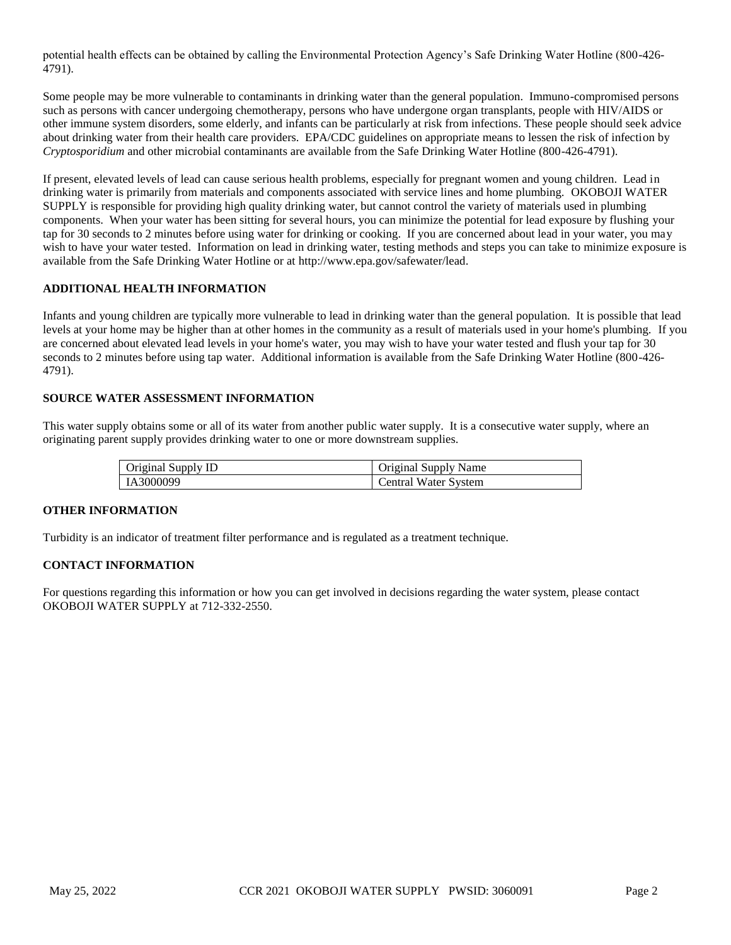potential health effects can be obtained by calling the Environmental Protection Agency's Safe Drinking Water Hotline (800-426- 4791).

Some people may be more vulnerable to contaminants in drinking water than the general population. Immuno-compromised persons such as persons with cancer undergoing chemotherapy, persons who have undergone organ transplants, people with HIV/AIDS or other immune system disorders, some elderly, and infants can be particularly at risk from infections. These people should seek advice about drinking water from their health care providers. EPA/CDC guidelines on appropriate means to lessen the risk of infection by *Cryptosporidium* and other microbial contaminants are available from the Safe Drinking Water Hotline (800-426-4791).

If present, elevated levels of lead can cause serious health problems, especially for pregnant women and young children. Lead in drinking water is primarily from materials and components associated with service lines and home plumbing. OKOBOJI WATER SUPPLY is responsible for providing high quality drinking water, but cannot control the variety of materials used in plumbing components. When your water has been sitting for several hours, you can minimize the potential for lead exposure by flushing your tap for 30 seconds to 2 minutes before using water for drinking or cooking. If you are concerned about lead in your water, you may wish to have your water tested. Information on lead in drinking water, testing methods and steps you can take to minimize exposure is available from the Safe Drinking Water Hotline or at http://www.epa.gov/safewater/lead.

# **ADDITIONAL HEALTH INFORMATION**

Infants and young children are typically more vulnerable to lead in drinking water than the general population. It is possible that lead levels at your home may be higher than at other homes in the community as a result of materials used in your home's plumbing. If you are concerned about elevated lead levels in your home's water, you may wish to have your water tested and flush your tap for 30 seconds to 2 minutes before using tap water. Additional information is available from the Safe Drinking Water Hotline (800-426- 4791).

#### **SOURCE WATER ASSESSMENT INFORMATION**

This water supply obtains some or all of its water from another public water supply. It is a consecutive water supply, where an originating parent supply provides drinking water to one or more downstream supplies.

| Original Supply ID | Original Supply Name        |
|--------------------|-----------------------------|
| IA3000099          | <b>Central Water System</b> |

#### **OTHER INFORMATION**

Turbidity is an indicator of treatment filter performance and is regulated as a treatment technique.

# **CONTACT INFORMATION**

For questions regarding this information or how you can get involved in decisions regarding the water system, please contact OKOBOJI WATER SUPPLY at 712-332-2550.